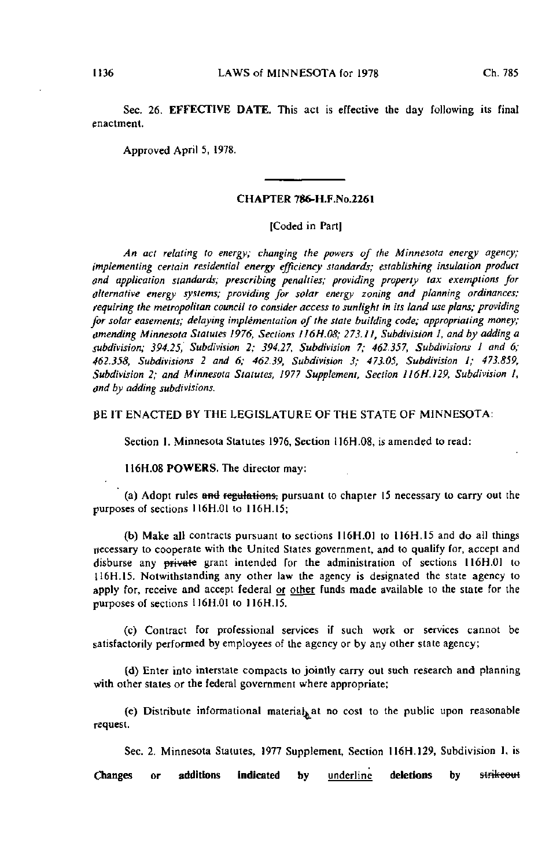Sec. 26. EFFECTIVE DATE. This act is effective the day following its final enactment.

Approved April 5, 1978.

### CHAPTER 786-H.F.No.2261

## [Coded in Part]

An act relating to energy; changing the powers of the Minnesota energy agency; implementing certain residential energy efficiency standards; establishing insulation product and application standards; prescribing penalties; providing property tax exemptions for alternative energy systems; providing for solar energy zoning and planning ordinances; requiring the metropolitan council to consider access to sunlight in its land use plans; providing for solar easements; delaying implementation of the state building code; appropriating money; amending Minnesota Statutes 1976, Sections H6H.08; 273.11, Subdivision 1, and by adding a subdivision; 394.25, Subdivision 2; 394.27, Subdivision 7; 462.357, Subdivisions I and 6; 462.358, Subdivisions 2 and 6; 462.39, Subdivision 3; 473.05, Subdivision i; 473.859, Subdivision 2; and Minnesota Statutes, 1977 Supplement, Section II6H.129, Subdivision I, and by adding subdivisions.

## BE IT ENACTED BY THE LEGISLATURE OF THE STATE OF MINNESOTA:

Section 1. Minnesota Statutes 1976, Section 116H.08, is amended to read:

116H.08 POWERS. The director may:

(a) Adopt rules and regulations, pursuant to chapter 15 necessary to carry out the purposes of sections 116H.01 to 116H.I5;

(b) Make all contracts pursuant to sections II6H.01 to 116H.15 and do all things necessary to cooperate with the United States government, and to qualify for, accept and disburse any private grant intended for the administration of sections I16H.01 to H6H.15. Notwithstanding any other law the agency is designated the state agency to apply for, receive and accept federal or other funds made available to the state for the purposes of sections 116H.01 to 116H.15.

(c) Contract for professional services if such work or services cannot be satisfactorily performed by employees of the agency or by any other state agency;

(d) Enter into interstate compacts to jointly carry out such research and planning with other states or the federal government where appropriate;

(e) Distribute informational material>at no cost to the public upon reasonable request.

Sec. 2. Minnesota Statutes, 1977 Supplement, Section 116H.129, Subdivision 1, is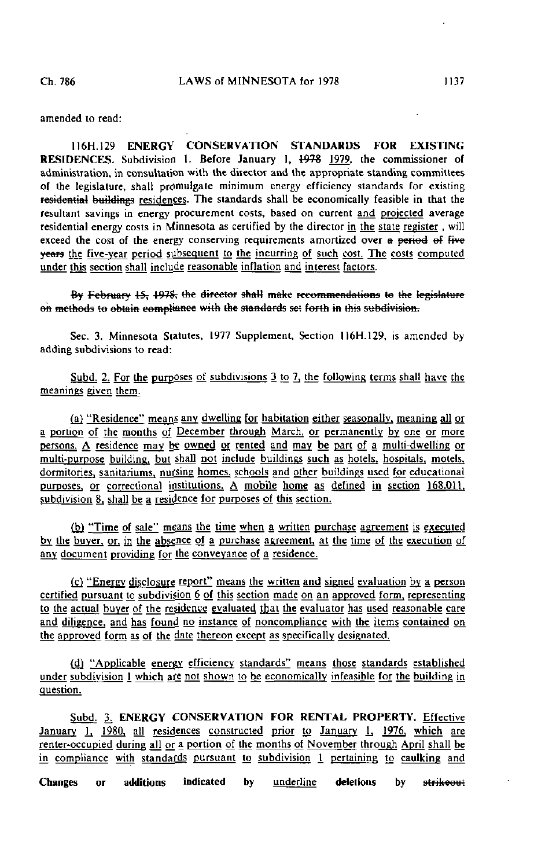amended to read:

I16H.129 ENERGY CONSERVATION STANDARDS FOR EXISTING RESIDENCES. Subdivision 1. Before January 1,  $\frac{1978}{1979}$  1979, the commissioner of administration, in consultation with the director and the appropriate standing committees of the legislature, shall promulgate minimum energy efficiency standards for existing residential buildings residences. The standards shall be economically feasible in that the resultant savings in energy procurement costs, based on current and projected average residential energy costs in Minnesota as certified by the director in the state register , will exceed the cost of the energy conserving requirements amortized over a period of five years the five-year period subsequent to the incurring of such cost. The costs computed under this section shall include reasonable inflation and interest factors.

By February 15, 1978, the director shall make recommendations to the legislature en methods te obtain compliance with the standards set forth in this subdivision.

Sec. 3. Minnesota Statutes, 1977 Supplement, Section 116H.129, is amended by adding subdivisions to read:

Subd. 2. For the purposes of subdivisions  $3$  to  $7$ , the following terms shall have the meanings given them.

(a) "Residence" means any dwelling for habitation either seasonally, meaning all or a portion of the months of December through March, or permanently by one or more persons. A residence may be owned or rented and may be part of a multi-dwelling or multi-purpose building, but shall not include buildings such as hotels, hospitals, motels, dormitories, sanitariums, nursing homes, schools and other buildings used for educational purposes, or correctional institutions. A mobile home as defined in section 168.011. subdivision 8, shall be a residence for purposes of this section.

(b) "Time of sale" means the time when a written purchase agreement is executed by the buyer, or, in the absence of a purchase agreement, at the time of the execution of any document providing for the conveyance of a residence.

(c) "Energy disclosure report" means the written and signed evaluation by a person certified pursuant to subdivision  $6$  of this section made on an approved form, representing to the actual buyer of the residence evaluated that the evaluator has used reasonable care and diligence, and has found no instance of noncompliance with the items contained on the approved form as of the date thereon except as specifically designated.

(dj "Applicable energy efficiency standards" means those standards established under subdivision 1 which are not shown to be economically infeasible for the building in question.

Subd. 3. ENERGY CONSERVATION FOR RENTAL PROPERTY. Effective January 1, 1980, all residences constructed prior to January 1, 1976, which are renter-occupied during all or a portion of the months of November through April shall be in compliance with standards pursuant to subdivision 1 pertaining to caulking and

Changes or additions indicated by <u>underline</u> deletions by s<del>trikeou</del>t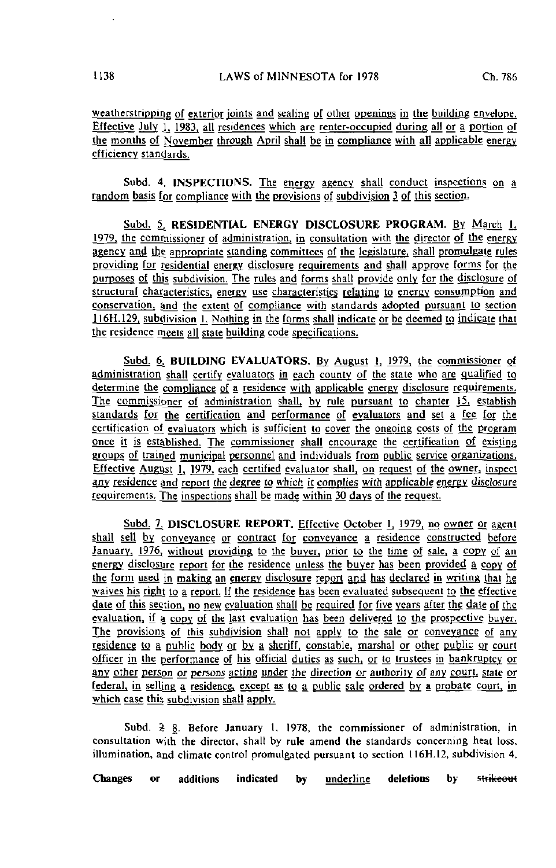weatherstripping of exterior joints and sealing of other openings in the building envelope. Effective July 1, 1983, all residences which are renter-occupied during all or a portion of the months of November through April shall be in compliance with ajl applicable energy efficiency standards.

Subd. 4. INSPECTIONS. The energy agency shall conduct inspections on a random basis for compliance with the provisions of subdivision 3 of this section.

Subd. 5. RESIDENTIAL ENERGY DISCLOSURE PROGRAM. By March 1, \9T9± the commissioner of administration, in consultation with the director of the energy agency and thg appropriate standing committees of the legislature, shall promulgate rules providing for residential energy disclosure requirements and shall approve forms for the purposes of this subdivision. The rules and forms shall provide only for the disclosure of structural characteristics, energy use characteristics relating to energy consumption and conservation, and the extent of compliance with standards adopted pursuant to section J16H.129. subdivision 1. Nothing in the forms shall indicate or be deemed to indicate that the residence meets all state building code specifications.

Subd. 6. BUILDING EVALUATORS. By August 1, 1979, the commissioner of administration shall certify evaluators in each county of the state who are qualified to determine the compliance of a residence with applicable energy disclosure requirements. The commissioner of administration shall, by rule pursuant to chapter 15, establish standards for the certification and performance of eyalualors and set a fee for the certification of evaluators which is sufficient to cover the ongoing costs of the program once it is established. The commissioner shall encourage the certification of existing groups of trained municipal personnel and individuals from public service organizations. Effective August  $\overline{1, 1979}$ , each certified evaluator shall, on request of the owner, inspect any residence and report the degree to which it complies with applicable energy disclosure requirements. The inspections shall be made within 30 days of the request.

Subd. 7, DISCLOSURE REPORT. Effective October 1, 1979, no owner or agent shall sell by conveyance or contract for conveyance a residence constructed before January, 1976, without providing to the buyer, prior to the time of sale, a copy of an energy disclosure report for the residence unless the buyer has been provided a copy of the form used in making an energy disclosure report and has declared in writing that he waives his right to a report. If the residence has been evaluated subsequent to the effective date of this section, no new evaluation shall be required for five years after the date of the evaluation, if a copy of the last evaluation has been delivered to the prospective buyer. The provisions of this subdivision shall not apply to the sale or conveyance of any residence to a public body or by a sheriff, constable, marshal or other public or court officer in the performance of his official duties as such, or to trustees in bankruptcy or any other person or persons acting under the direction or authority of any court, state or federal, in selling a residence, except as to a public sale ordered by a probate court, in which case this subdivision shall apply.

Subd.  $\geq 8$ . Before January 1, 1978, the commissioner of administration, in consultation with the director, shall by rule amend the standards concerning heat loss, illumination, and climate control promulgated pursuant to section 116H.12. subdivision 4.

Changes or additions indicated by underline deletions by strikeout

 $\mathbf{r}$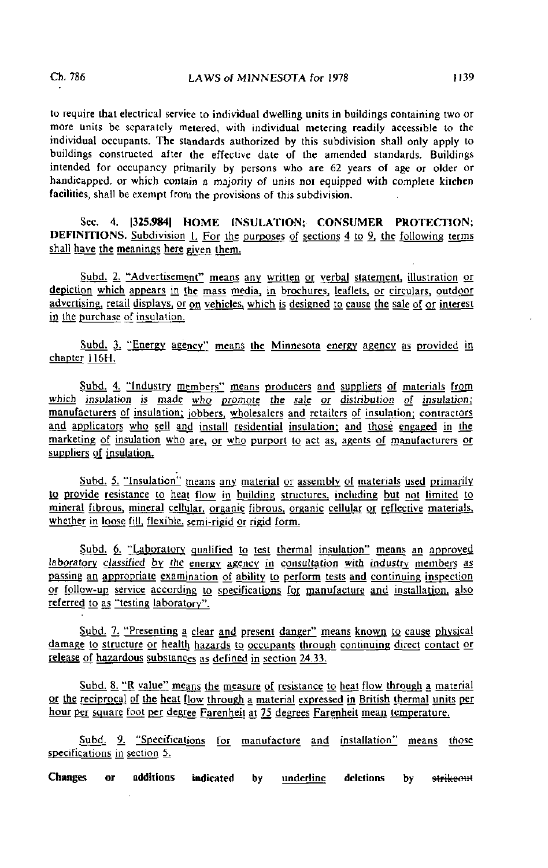to require that electrical service to individual dwelling units in buildings containing two or more units be separately metered, with individual metering readily accessible to the individual occupants. The standards authorized by this subdivision shall only apply to buildings constructed after the effective date of the amended standards. Buildings intended for occupancy primarily by persons who are 62 years of age or older or handicapped, or which contain a majority of units not equipped wilh complete kitchen facilities, shall be exempt from the provisions of this subdivision.

Sec. 4. |325.984| HOME INSULATION; CONSUMER PROTECTION; **DEFINITIONS.** Subdivision  $L$  For the purposes of sections 4 to 9, the following terms shall have the meanings here given them.

Subd. 2. "Advertisement" means any written or verbal statement, illustration or depiction which appears in the mass media, in brochures, leaflets, or circulars, outdoor advertising, retail displays, or on vehicles, which is designed to cause the sale of or interest in the purchase of insulation.

Subd. 3. "Energy agency" means the Minnesota energy agency as provided in chapter 1I6H.

Subd. 4. "Industry members" means producers and suppliers of materials from which insulation is made who promote the sale or distribution of insulation; manufacturers of insulation; jobbers, wholesalers and retailers of insulation; contractors and applicators who sell and install residential insulation; and those engaged in the marketing of insulation who are, or who purport to act as, agents of manufacturers or suppliers of insulation.

Subd. 5. "Insulation" means any material or assembly of materials used primarily to provide resistance to heat flow in building structures, including but not limited to mineral fibrous, mineral cellular, organic fibrous, organic cellular or reflective materials, whether in loose fill, flexible, semi-rigid or rigid form.

Subd. 6. "Laboratory qualified to test thermal insulation" means an approved laboratory classified by the energy agency in consultation with industry members as passing an appropriate examination of ability to perform tests and continuing inspection or follow-up service according to specifications for manufacture and installation, also referred to as "testing laboratory".

Subd. 7. "Presenting a clear and present danger" means known to cause physical damage to structure or health hazards to occupants through continuing direct contact or release of hazardous substances as defined in section 24.33.

Subd. 8. "R value" means the measure of resistance to heat flow through a material or the reciprocal of the heal flow through a material expressed jn British thermal units per hour per square foot per degree Farenheit at 75 degrees Farenheit mean temperature.

Subd. 9. "Specifications for manufacture and installation" means those specifications in section 5.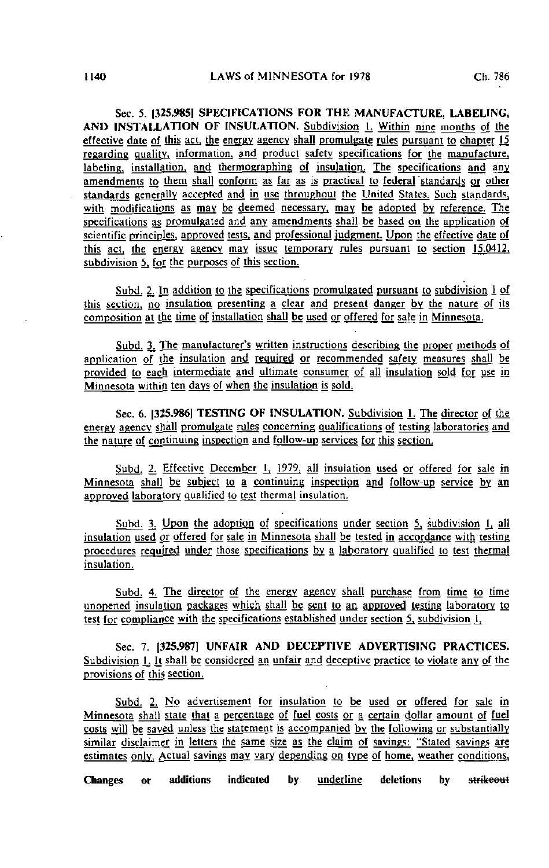Sec. 5. 1325.9851 SPECIFICATIONS FOR THE MANUFACTURE, LABELING, AND INSTALLATION OF INSULATION. Subdivision L Within nine months of the effective date of this act, the energy agency shall promulgate rules pursuant to chapter |5 regarding quality, information, and product safety specifications for the manufacture, labeling, installation, and thermographing of insulation. The specifications and any amendments to them shall conform as far as is practical to federal 'standards or other standards generally accepted and in use throughout the United States. Such standards, with modifications as may be deemed necessary, may be adopted by reference. The specifications as promulgated and any amendments shall be based on the application of scientific principles, approved tests, and professional judgment. Upon the effective date of this act, the energy agency may issue temporary rules pursuant to section 15.0412. subdivision 5, for the purposes of this section.

Subd. 2. In addition to the specifications promulgated pursuant to subdivision 1 of this section, no insulation presenting a clear and present danger by the nature of its composition at the time of installation shall be used or offered for sale in Minnesota.

Subd. 3. The manufacturer's written instructions describing the proper methods of application of the insulation and required or recommended safety measures shall be provided to each intermediate and ultimate consumer of all insulation sold for use in Minnesota within ten days of when the insulation is sold.

Sec. 6. [325.986] TESTING OF INSULATION. Subdivision L The director of the energy agency shall promulgate rules concerning qualifications of testing laboratories and the nature of continuing inspection and follow-up services for this section.

Subd. 2. Effective December 1, 1979, all insulation used or offered for sale in Minnesota shall be subject to a continuing inspection and follow-up service by an approved laboratory qualified to test thermal insulation.

Subd. 3. Upon the adoption of specifications under section 5, subdivision 1, all insulation used or offered for sale in Minnesota shall be tested in accordance with testing procedures required under those specifications by a laboratory qualified to test thermal insulation.

Subd. 4. The director of the energy agency shall purchase from time to time unopened insulation packages which shall be sent to an approved testing laboratory to test for compliance with the specifications established under section 5, subdivision 1.

Sec. 7. [325.987) UNFAIR AND DECEPTIVE ADVERTISING PRACTICES. Subdivision 1. It shall be considered an unfair and deceptive practice to violate any of the provisions of this section,

Subd. 2. No advertisement for insulation to be used or offered for sale in Minnesota shall state that a percentage of fuel costs or a certain dollar amount of fuel costs will be saved unless the statement is accompanied by the following or substantially similar disclaimer in letters the same size as the claim of savings: "Stated savings are estimates only. Actual savings may vary depending on type of home, weather conditions,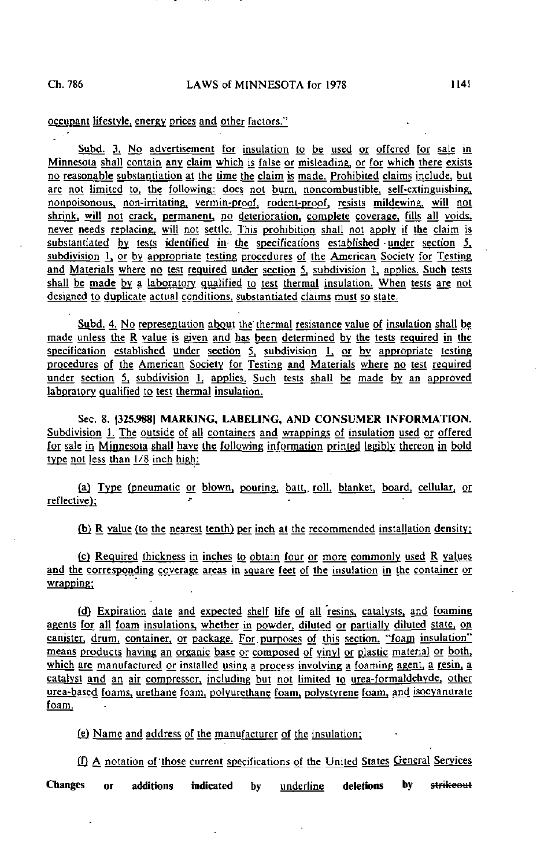L. P

### occupant lifestyle, energy prices and other factors."

Subd. 3. No advertisement for insulation to be used or offered for sale in Minnesota shall contain any claim which is false or misleading, or for which there exists no reasonable substantiation at the time the claim is made. Prohibited claims include, but are not limited to, the following: does not burn, noncombustible, self-extinguishing, nonpoisonous. non-irritating, vermin-proof, rodent-proof, resists mildewing, will not shrink, will not crack, permanent, no deterioration, complete coverage, fills all voids, never needs replacing, will not settle. This prohibition shall not apply if the claim is substantiated by tests identified in the specifications established under section  $5$ , subdivision 1, or by appropriate testing procedures of the American Society for Testing and Materials where no test required under section 5, subdivision 1, applies. Such tests shall be made by a laboratory qualified to test thermal insulation. When tests are not designed to duplicate actual conditions, substantiated claims must so state.

Subd. 4; No representation about the thermal resistance value of insulation shall be made unless the R value is given and has been determined by the tests required in the specification established under section  $5$ , subdivision  $1$ , or by appropriate testing procedures of the American Society for Testing and Materials where no test required under section 5, subdivision 1, applies. Such tests shall be made by an approved laboratory qualified to test thermal insulation.

Sec. 8. |325.988| MARKING, LABELING, AND CONSUMER INFORMATION. Subdivision 1. The outside of all containers and wrappings of insulation used or offered for sale in Minnesota shall have the following information printed legibly thereon in bold type not less than  $1/8$  inch high:

(a) Type (pneumatic or blown, pouring, batt, roll, blanket, board, cellular, or reflective};

(b) R value (to the nearest tenth) per inch at the recommended installation density;

(c) Required thickness in inches to obtain four or more commonly used R values and the corresponding coverage areas in square feet of the insulation in the container or wrapping;

(d) Expiration date and expected shelf life of all resins, catalysts, and foaming agents for all foam insulations, whether in powder, diluted or partially diluted state, on canister, drum, container, or package. For.purposes of this section, "foam insulation" means products having an organic base or composed of yinyj or plastic material or both. which are manufactured or installed using a process involving a foaming agent, a resin, a catalyst and an air compressor, including but not limited to urea-formaldehyde, other urea-based foams, urethane foam, polyurethane foam, polystyrene foam, and isocyanurate foam.

£g) Name and address of the manufacturer of the insulation;

tQ A notation of'those current specifications of the United States General Services Changes or additions indicated by underline deletions by strikeout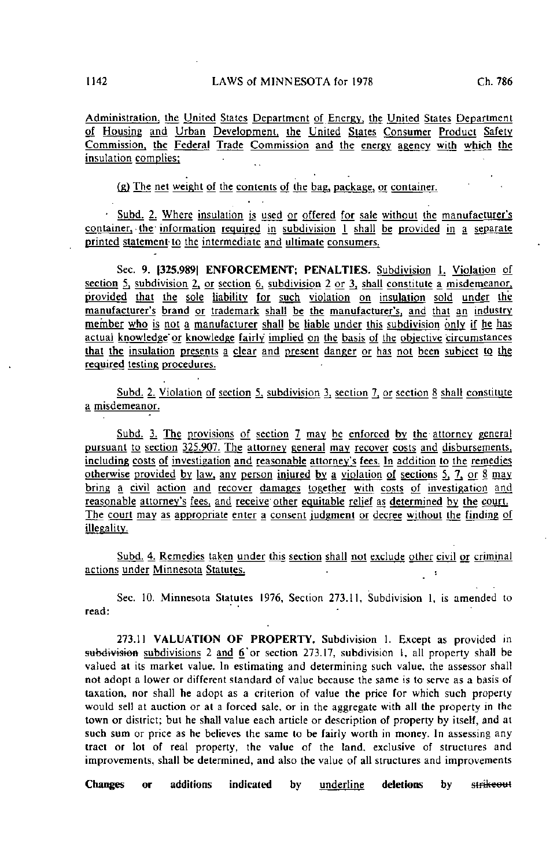Administration, the United States Department of Energy, the United States Department of Housing and Urban Development, the United States Consumer Product Safety Commission, the Federal Trade Commission and the energy agency with which the insulation complies;  $\sim$ 

(g) The net weight of the contents of the bag, package, or container.

- Subd. 2. Where insulation is used or offered for sale without the manufacturer's container. the information required in subdivision 1 shall be provided in a separate printed statement' to the intermediate and ultimate consumers.

Sec. 9. (325.9891 ENFORCEMENT; PENALTIES. Subdivision L Violation of section 5, subdivision 2, or section 6, subdivision 2 or 3, shall constitute a misdemeanor, provided that the sole liability for such violation on insulation sold under the manufacturer's brand or trademark shall be the manufacturer's, and that an industry member who is not a manufacturer shall be liable under this subdivision only if he has actual knowledge'or knowledge fairly implied on the basis of the objective circumstances that the insulation presents a clear and present danger or has not been subject to the required testing procedures.

Subd. 2. Violation of section 5, subdivision 3, section 7, or section 8 shall constitute a misdemeanor.

Subd. 3. The provisions of section 7 may be enforced by the attorney general pursuant to section 325.907. The attorney general may recover costs and disbursements, including costs of investigation and reasonable attorney's fees. In addition to the remedies otherwise provided by law, any person injured by a violation of sections 5, 7, or 8 may bring a civil action and recover damages together with costs of investigation and reasonable attorney's fees, and receive other equitable relief as determined by the court. The court may as appropriate enter a consent judgment or decree without the finding of illegality.

Subd. 4. Remedies taken under this section shall not exclude other civil or criminal actions under Minnesota Statutes.

Sec. 10. Minnesota Statutes 1976, Section 273.11, Subdivision 1, is amended to read:

273.11 VALUATION OF PROPERTY. Subdivision 1. Except as provided in subdivision subdivisions 2 and 6 or section 273.17, subdivision 1, all property shall be valued at its market value. In estimating and determining such value, the assessor shall not adopt a lower or different standard of value because the same is to serve as a basis of taxation, nor shall he adopt as a criterion of value the price for which such property would sell at auction or at a forced sale, or in the aggregate with all the property in the town or district; but he shall value each article or description of property by itself, and at such sum or price as he believes the same to be fairly worth in money. In assessing any tract or lot of real property, the value of the land, exclusive of structures and improvements, shall be determined, and also the value of all structures and improvements

Changes or additions indicated by <u>underline</u> deletions by st<del>rikeout</del>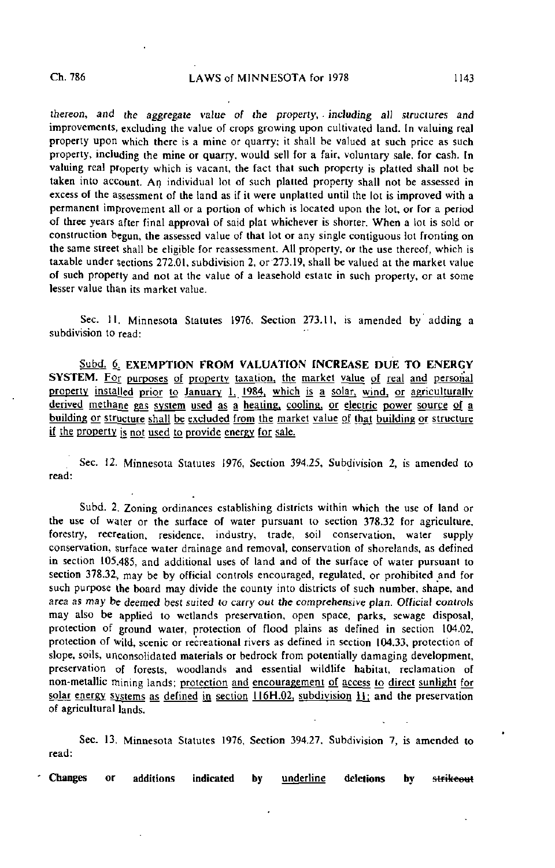thereon, and the aggregate value of the property, including all structures and improvements, excluding the value of crops growing upon cultivated land. In valuing real property upon which there is a mine or quarry; it shall be valued at such price as such property, including the mine or quarry, would sell for a fair, voluntary sale, for cash. In valuing real property which is vacant, the fact thai such property is platted shall not be taken into account. An individual lot of such plaited property shall not be assessed in excess of the assessment of the land as if it were unplatted until the lot is improved with a permanent improvement all or a portion of which is located upon the lot, or for a period of three years after final approval of said plat whichever is shorter. When a lot is sold or construction begun, the assessed value of that lot or any single contiguous lot fronting on the same street shall be eligible for reassessment. All property, or the use thereof, which is taxable under Sections 272.01, subdivision 2, or 273.19, shall be valued at the market value of such property and not at the value of a leasehold estate in such property, or at some lesser value than its market value.

Sec. 11. Minnesota Statutes 1976, Section 273.11, is amended by adding a subdivision to read:

Subd. 6, EXEMPTION FROM VALUATION INCREASE DUE TO ENERGY SYSTEM. For purposes of property taxation, the market value of real and personal property installed prior to January 1, 1984, which is a solar, wind, or agriculturally derived methane gas system used as a heating, cooling, or electric power source of a building or structure shall be excluded from the market value of that building or structure if the property is not used to provide energy for sale.

Sec. 12. Minnesota Statutes 1976, Section 394.25, Subdivision 2, is amended to read:

Subd. 2. Zoning ordinances establishing districts within which the use of land or the use of water or the surface of water pursuant to section 378.32 for agriculture, forestry, recreation, residence, industry, trade, soil conservation, water supply conservation, surface water drainage and removal, conservation of shorelands, as defined in section 105.485, and additional uses of land and of the surface of water pursuant to section 378.32, may be by official controls encouraged, regulated, or prohibited and for such purpose the board may divide the county into districts of such number, shape, and area as may be deemed best suited to carry out the comprehensive plan. Official controls may also be applied to wetlands preservation, open space, parks, sewage disposal, protection of ground water, protection of flood plains as defined in section 104.02, protection of wild, scenic or recreational rivers as defined in section 104.33, protection of slope, soils, unconsolidated materials or bedrock from potentially damaging development, preservation of forests, woodlands and essential wildlife habitat, reclamation of non-metallic mining lands; protection and encouragement of access to direct sunlight for solar energy systems as defined in section  $116H.02$ , subdivision  $\pm 1$ ; and the preservation of agricultural lands.

Sec. 13, Minnesota Statutes 1976, Section 394.27, Subdivision 7, is amended to read: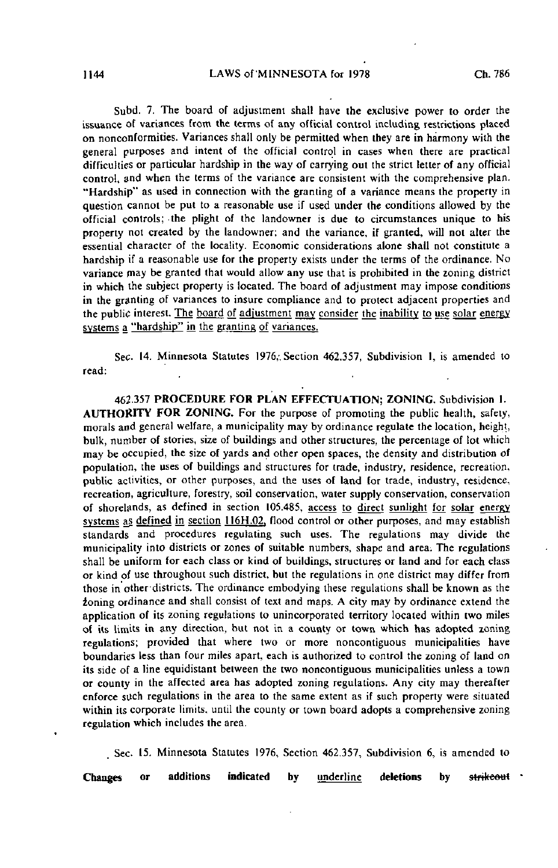Subd. 7. The board of adjustment shall have the exclusive power to order the issuance of variances from the terms of any official control including restrictions placed on nonconformities. Variances shall only be permitted when they are in harmony with the general purposes and intent of the official control in cases when there are practical difficulties or particular hardship in the way of carrying out the strict letter of any official control, and when the terms of the variance are consistent with the comprehensive plan. "Hardship" as used in connection with the granting of a variance means the property in question cannot be put to a reasonable use if used under the conditions allowed by the official controls; -the plight of the landowner is due to circumstances unique to his property not created by the landowner; and the variance, if granted, will not alter the essential character of the locality. Economic considerations alone shall not constitute a hardship if a reasonable use for the property exists under the terms of the ordinance. No variance may be granted that would allow any use that is prohibited in the zoning district in which the subject property is located. The board of adjustment may impose conditions in the granting of variances to insure compliance and to protect adjacent properties and the public interest. The board of adjustment may consider the inability to use solar energy systems a "hardship" in the granting of variances.

Sec. 14. Minnesota Statutes 1976,. Section 462.357, Subdivision 1, is amended to read:

462.357 PROCEDURE FOR PLAN EFFECTUATION; ZONING. Subdivision 1. AUTHORITY FOR ZONING. For the purpose of promoting the public health, safety, morals and general welfare, a municipality may by ordinance regulate the location, height, bulk, number of stories, size of buildings and other structures, the percentage of lot which may be occupied, the size of yards and other open spaces, the density and distribution of population, the uses of buildings and structures for trade, industry, residence, recreation, public activities, or other purposes, and the uses of land for trade, industry, residence, recreation, agriculture, forestry, soil conservation, water supply conservation, conservation of shorelands, as defined in section 105.485, access to direct sunlight for solar energy systems as defined in section 116H.02, flood control or other purposes, and may establish standards and procedures regulating such uses. The regulations may divide the municipality into districts or zones of suitable numbers, shape and area: The regulations shall be uniform for each class or kind of buildings, structures or land and for each class or kind of use throughout such district, but the regulations in one district may differ from those in other-districts. The ordinance embodying these regulations shall be known as the zoning ordinance and shall consist of text and maps. A city may by ordinance extend the application of its zoning regulations to unincorporated territory located within two miles of its limits in any direction, but not in a county or town which has adopted zoning regulations; provided that where two or more noncontiguous municipalities have boundaries less than four miles apart, each is authorized to control the zoning of land on its side of a line equidistant between the two noncontiguous municipalities unless a town or county in the affected area has adopted zoning regulations. Any city may thereafter enforce such regulations in the area to the same extent as if such property were situated within its corporate limits, until the county or town board adopts a comprehensive zoning regulation which includes the area.

Sec. 15. Minnesota Statutes 1976, Section 462,357, Subdivision 6, is amended to

Changes or additions indicated by <u>underline</u> deletions by s<del>trikeout</del>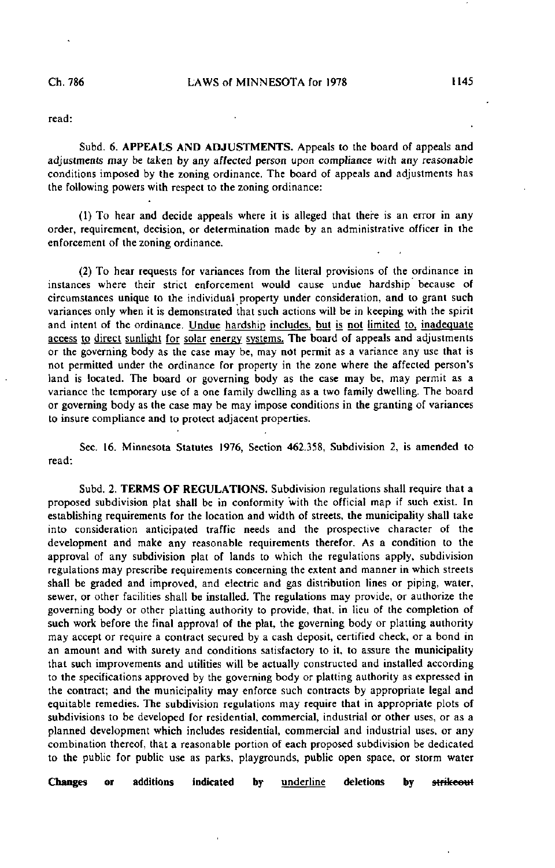read:

Subd. 6. APPEALS AND ADJUSTMENTS. Appeals to the board of appeals and adjustments may be taken by any affected person upon compliance with any reasonable conditions imposed by the zoning ordinance. The board of appeals and adjustments has the following powers with respect to the zoning ordinance:

(1) To hear and decide appeals where it is alleged that there is an error in any order, requirement, decision, or determination made by an administrative officer in the enforcement of the zoning ordinance.

(2) To hear requests for variances from the literal provisions of the ordinance in instances where their strict enforcement would cause undue hardship because of circumstances unique to the individual property under consideration, and to grant such variances only when it is demonstrated that such actions will be in keeping with the spirit and intent of the ordinance. Undue hardship includes, but is not limited to, inadequate access to direct sunlight for solar energy systems. The board of appeals and adjustments or the governing body as the case may be, may not permit as a variance any use that is not permitted under the ordinance for property in the zone where the affected person's land is located. The board or governing body as the case may be, may permit as a variance the temporary use of a one family dwelling as a two family dwelling. The board or governing body as the case may be may impose conditions in the granting of variances to insure compliance and to protect adjacent properties.

Sec. 16. Minnesota Statutes 1976, Section 462.358, Subdivision 2, is amended to read:

Subd. 2. TERMS OF REGULATIONS. Subdivision regulations shall require that a proposed subdivision plat shall be in conformity with the official map if such exist. In establishing requirements for the location and width of streets, the municipality shall take into consideration anticipated traffic needs and the prospective character of the development and make any reasonable requirements therefor. As a condition to the approval of any subdivision plat of lands to which the regulations apply, subdivision regulations may prescribe requirements concerning the extent and manner in which streets shall be graded and improved, and electric and gas distribution lines or piping, water, sewer, or other facilities shall be installed. The regulations may provide, or authorize the governing body or other platting authority to provide, that, in lieu of the completion of such work before the final approval of the plat, the governing body or platting authority may accept or require a contract secured by a cash deposit, certified check, or a bond in an amount and with surety and conditions satisfactory to it, to assure the municipality that such improvements and utilities will be actually constructed and installed according to the specifications approved by the governing body or platting authority as expressed in the contract; and the municipality may enforce such contracts by appropriate legal and equitable remedies. The subdivision regulations may require that in appropriate plots of subdivisions to be developed for residential, commercial, industrial or other uses, or as a planned development which includes residential, commercial and industrial uses, or any combination thereof, that a reasonable portion of each proposed subdivision be dedicated to the public for public use as parks, playgrounds, public open space, or storm water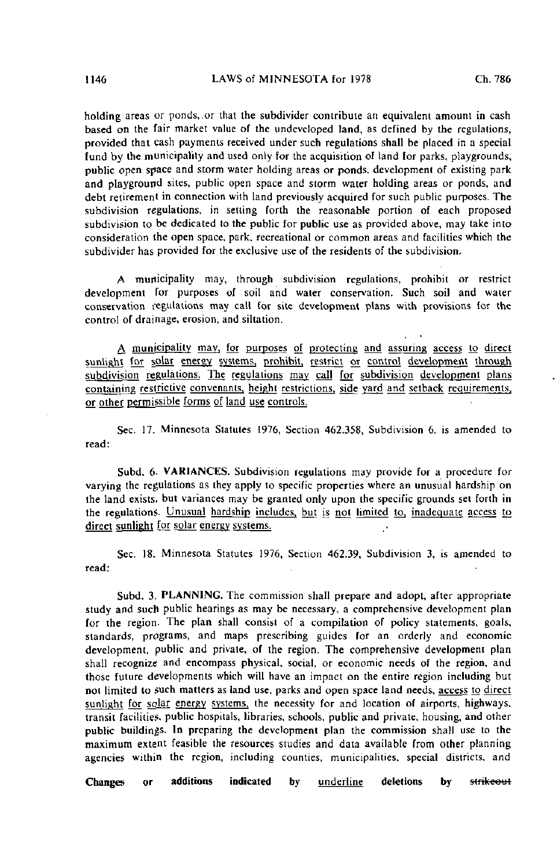holding areas or ponds,.or that the subdivider contribute an equivalent amount in cash based on the fair market value of the undeveloped land, as defined by the regulations, provided that cash payments received under such regulations shall be placed in a special fund by the municipality and used only for the acquisition of land for parks, playgrounds, public open space and storm water holding areas or ponds, development of existing park and playground sites, public open space and storm water holding areas or ponds, and debt retirement in connection with land previously acquired for such public purposes. The subdivision regulations, in setting forth the reasonable portion of each proposed subdivision to be dedicated to the public for public use as provided above, may take into consideration the open space, park, recreational or common areas and facilities which the subdivider has provided for the exclusive use of the residents of the subdivision.

A municipality may, through subdivision regulations, prohibit or restrict development for purposes of soil and water conservation. Such soil and water conservation regulations may call for site development plans with provisions for the control of drainage, erosion, and siltation.

A municipality may, for purposes of protecting and assuring access to direct sunlight for solar energy systems, prohibit, restrict or control development through subdivision regulations. The regulations may call for subdivision development plans containing restrictive convenants. height restrictions, side yard and setback requirements, or other permissible forms of land use controls.

Sec. 17. Minnesota Statutes 1976, Section 462.358, Subdivision 6. is amended to read:

Subd. 6- VARIANCES. Subdivision regulations may provide for a procedure for varying the regulations as they apply to specific properties where an unusual hardship on the land exists, but variances may be granted only upon the specific grounds set forth in the regulations. Unusual hardship includes, but is not limited to, inadequate access to direct sunlight for solar energy systems.

Sec. 18. Minnesota Statutes 1976, Section 462.39, Subdivision 3, is amended to read;

Subd. 3. PLANNING. The commission shall prepare and adopt, after appropriate study and such public hearings as may be necessary, a comprehensive development plan for the region. The plan shall consist of a compilation of policy statements, goals, standards, programs, and maps prescribing guides for an orderly and economic development, public and private, of the region. The comprehensive development plan shall recognize and encompass physical, social, or economic needs of the region, and those future developments which will have an impact on the entire region including but not limited to such matters as land use, parks and open space land needs, access to direct sunlight for solar energy systems, the necessity for and location of airports, highways, transit facilities, public hospitals, libraries, schools, public and private, housing, and other public buildings. In preparing the development plan the commission shall use to the maximum extent feasible the resources studies and data available from other planning agencies within the region, including counties, municipalities, special districts, and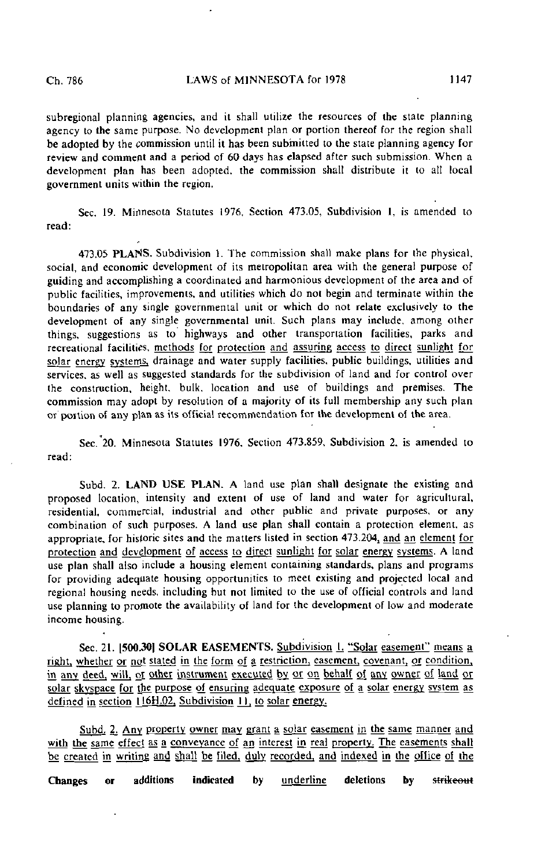subregional planning agencies, and it shall utilize the resources of the state planning agency to the same purpose. No development plan or portion thereof for the region shall be adopted by the commission until it has been submitted to the state planning agency for review and comment and a period of 60 days has elapsed after such submission. When a development plan has been adopted, the commission shall distribute it to all local government units within the region.

Sec. 19. Minnesota Statutes 1976, Section 473.05, Subdivision 1, is amended to read:

473.05 PLANS. Subdivision 1. The commission shall make plans for the physical, social, and economic development of its metropolitan area with the general purpose of guiding and accomplishing a coordinated and harmonious development of the area and of public facilities, improvements, and utilities which do not begin and terminate within the boundaries of any single governmental unit or which do not relate exclusively to the development of any single governmental unit. Such plans may include, among other things, suggestions as to highways and other transportation facilities, parks and recreational facilities, methods for protection and assuring access to direct sunlight for solar energy systems, drainage and water supply facilities, public buildings, utilities and services, as well as suggested standards for the subdivision of land and for control over the construction, height, bulk, location and use of buildings and premises. The commission may adopt by resolution of a majority of its full membership any such plan or portion of any plan as its official recommendation for the development of the area.

Sec. 20. Minnesota Statutes 1976, Section 473.859, Subdivision 2. is amended to read:

Subd. 2. LAND USE PLAN. A land use plan shall designate the existing and proposed location, intensity and extent of use of land and waler for agricultural, residential, commercial, industrial and other public and private purposes, or any combination of such purposes. A land use plan shall contain a protection element, as appropriate, for historic sites and the matters listed in section 473.204, and an element for protection and development of access to direct sunlight for solar energy systems. A land use plan shall also include a housing element containing standards, plans and programs for providing adequate housing opportunities to meet existing and projected local and regional housing needs, including but not limited to the use of official controls and land use planning to promote the availability of land for the development of low and moderate income housing.

Sec. 21. [500.30] SOLAR EASEMENTS. Subdivision L. "Solar easement" means a right, whether or not stated in the form of a restriction, easement, covenant, or condition, in any deed, will, or other instrument executed by or on behalf of any owner of land or solar skyspace for the purpose of ensuring adequate exposure of a solar energy system as defined in section 116H.02. Subdivision 11, to solar energy.

Subd. 2. Any property owner may grant a solar easement in the same manner and with the same effect as a conveyance of an interest in real property. The easements shall be created in writing and shall be filed, duly recorded, and indexed in the office of the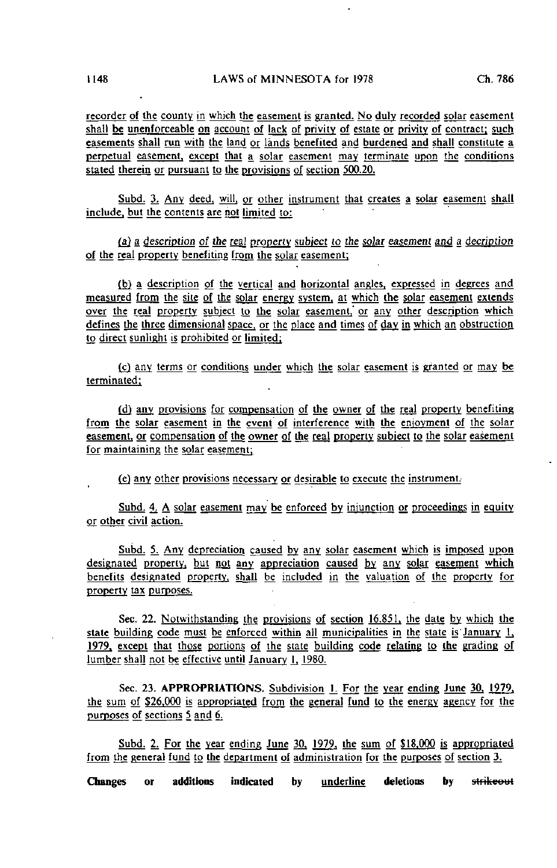recorder of the county in which the easement is granted. No duly recorded solar easement shall be unenforceable on account of lack of privity of estate or privity of contract; such easements shall run with the land or lands benefited and burdened and shall constitute a perpetual easement, except that a solar easement may terminate upon the conditions stated therein or pursuant to the provisions of section 500.20.

Subd. 3. Any deed, will, or other instrument that creates a solar easement shall include, but the contents are not limited to:

(a) a description of the real property subject to the solar easement and a decription of the real property benefiting from the solar easement;

(b) a description of the vertical and horizontal angles, expressed in degrees and measured from the site of the solar energy system, at which the solar easement extends over the real property subject to the solar easement, or any other description which defines the three dimensional space, or the place and times of day in which an obstruction to direct sunlight is prohibited or limited;

(c) any terms or conditions under which the solar easement is granted or may be terminated;

(d) any provisions for compensation of the owner of the real property benefiting from the solar easement in the event of interference with the enjoyment of the solar easement, or compensation of the owner of the real property subject to the solar easement for maintaining the solar easement;

(e) any other provisions necessary or desirable to execute the instrument.

Subd. 4. A solar easement may be enforced by injunction or proceedings in equity or other civil action.

Subd. 5. Any depreciation caused by any solar easement which is imposed upon designated property, but not any appreciation caused by any solar easement which benefits designated property, shall be included in the valuation of the property for property tax purposes.

Sec. 22. Notwithstanding the provisions of section 16.851, the date by which the state building code must be enforced within all municipalities in the state is January  $1$ , 1979. except that those portions of the slate building code relating to the grading of lumber shall not be effective until January 1, 1980.

Sec. 23. APPROPRIATIONS. Subdivision 1. For the year ending June 30, 1979. the sum of \$26.000 is appropriated from the general fund to the energy agency for the purposes of sections 5 and 6.

Subd. 2. For the year ending June 30, 1979, the sum of \$18,000 is appropriated from the general fund to the department of administration for the purposes of section 3.